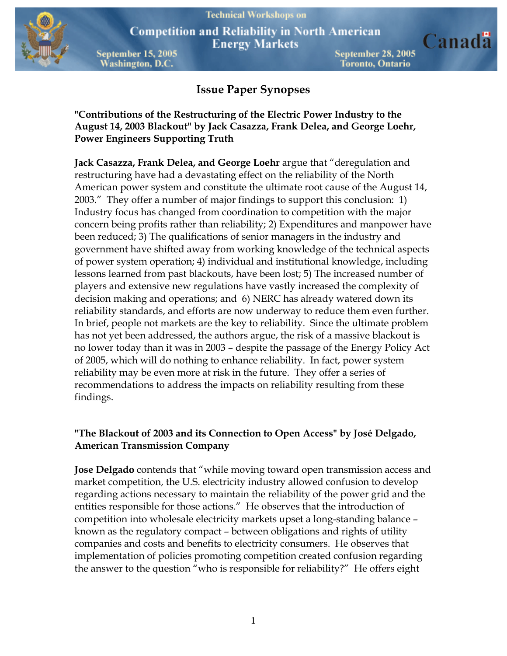

**Competition and Reliability in North American Energy Markets** 

**September 15, 2005 Washington, D.C.** 

September 28, 2005 Toronto, Ontario

Canada

# **Issue Paper Synopses**

**"Contributions of the Restructuring of the Electric Power Industry to the August 14, 2003 Blackout" by Jack Casazza, Frank Delea, and George Loehr, Power Engineers Supporting Truth** 

**Jack Casazza, Frank Delea, and George Loehr** argue that "deregulation and restructuring have had a devastating effect on the reliability of the North American power system and constitute the ultimate root cause of the August 14, 2003." They offer a number of major findings to support this conclusion: 1) Industry focus has changed from coordination to competition with the major concern being profits rather than reliability; 2) Expenditures and manpower have been reduced; 3) The qualifications of senior managers in the industry and government have shifted away from working knowledge of the technical aspects of power system operation; 4) individual and institutional knowledge, including lessons learned from past blackouts, have been lost; 5) The increased number of players and extensive new regulations have vastly increased the complexity of decision making and operations; and 6) NERC has already watered down its reliability standards, and efforts are now underway to reduce them even further. In brief, people not markets are the key to reliability. Since the ultimate problem has not yet been addressed, the authors argue, the risk of a massive blackout is no lower today than it was in 2003 – despite the passage of the Energy Policy Act of 2005, which will do nothing to enhance reliability. In fact, power system reliability may be even more at risk in the future. They offer a series of recommendations to address the impacts on reliability resulting from these findings.

## **"The Blackout of 2003 and its Connection to Open Access" by José Delgado, American Transmission Company**

**Jose Delgado** contends that "while moving toward open transmission access and market competition, the U.S. electricity industry allowed confusion to develop regarding actions necessary to maintain the reliability of the power grid and the entities responsible for those actions." He observes that the introduction of competition into wholesale electricity markets upset a long-standing balance – known as the regulatory compact – between obligations and rights of utility companies and costs and benefits to electricity consumers. He observes that implementation of policies promoting competition created confusion regarding the answer to the question "who is responsible for reliability?" He offers eight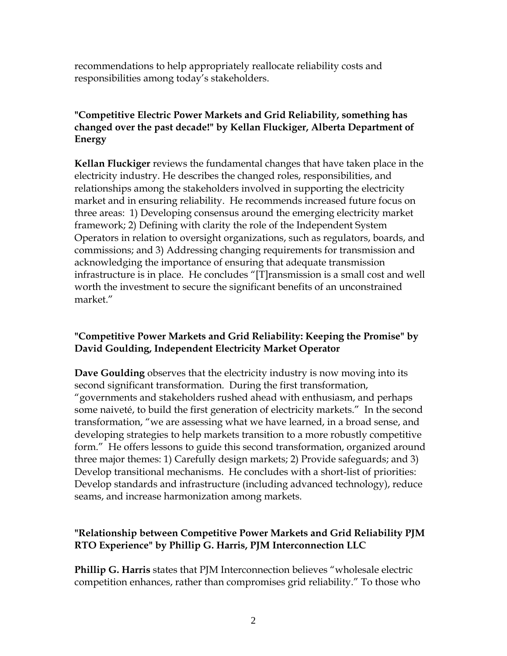recommendations to help appropriately reallocate reliability costs and responsibilities among today's stakeholders.

# **"Competitive Electric Power Markets and Grid Reliability, something has changed over the past decade!" by Kellan Fluckiger, Alberta Department of Energy**

**Kellan Fluckiger** reviews the fundamental changes that have taken place in the electricity industry. He describes the changed roles, responsibilities, and relationships among the stakeholders involved in supporting the electricity market and in ensuring reliability. He recommends increased future focus on three areas: 1) Developing consensus around the emerging electricity market framework; 2) Defining with clarity the role of the Independent System Operators in relation to oversight organizations, such as regulators, boards, and commissions; and 3) Addressing changing requirements for transmission and acknowledging the importance of ensuring that adequate transmission infrastructure is in place. He concludes "[T]ransmission is a small cost and well worth the investment to secure the significant benefits of an unconstrained market"

## **"Competitive Power Markets and Grid Reliability: Keeping the Promise" by David Goulding, Independent Electricity Market Operator**

**Dave Goulding** observes that the electricity industry is now moving into its second significant transformation. During the first transformation, "governments and stakeholders rushed ahead with enthusiasm, and perhaps some naiveté, to build the first generation of electricity markets." In the second transformation, "we are assessing what we have learned, in a broad sense, and developing strategies to help markets transition to a more robustly competitive form." He offers lessons to guide this second transformation, organized around three major themes: 1) Carefully design markets; 2) Provide safeguards; and 3) Develop transitional mechanisms. He concludes with a short-list of priorities: Develop standards and infrastructure (including advanced technology), reduce seams, and increase harmonization among markets.

## **"Relationship between Competitive Power Markets and Grid Reliability PJM RTO Experience" by Phillip G. Harris, PJM Interconnection LLC**

**Phillip G. Harris** states that PJM Interconnection believes "wholesale electric competition enhances, rather than compromises grid reliability." To those who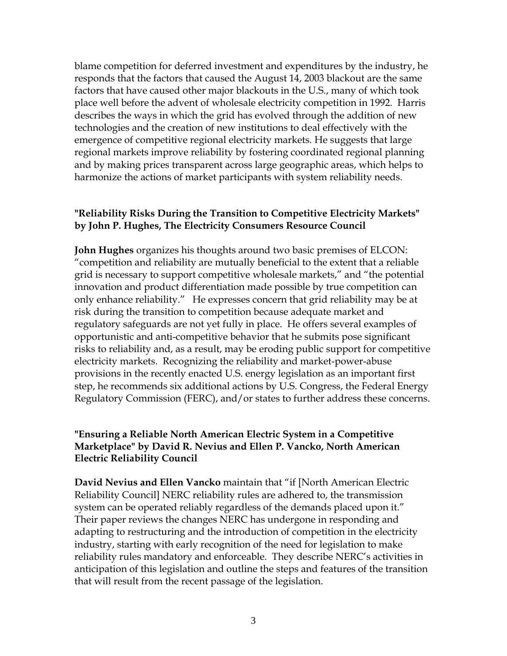blame competition for deferred investment and expenditures by the industry, he responds that the factors that caused the August 14, 2003 blackout are the same factors that have caused other major blackouts in the U.S., many of which took place well before the advent of wholesale electricity competition in 1992. Harris describes the ways in which the grid has evolved through the addition of new technologies and the creation of new institutions to deal effectively with the emergence of competitive regional electricity markets. He suggests that large regional markets improve reliability by fostering coordinated regional planning and by making prices transparent across large geographic areas, which helps to harmonize the actions of market participants with system reliability needs.

#### **"Reliability Risks During the Transition to Competitive Electricity Markets" by John P. Hughes, The Electricity Consumers Resource Council**

**John Hughes** organizes his thoughts around two basic premises of ELCON: "competition and reliability are mutually beneficial to the extent that a reliable grid is necessary to support competitive wholesale markets," and "the potential innovation and product differentiation made possible by true competition can only enhance reliability." He expresses concern that grid reliability may be at risk during the transition to competition because adequate market and regulatory safeguards are not yet fully in place. He offers several examples of opportunistic and anti-competitive behavior that he submits pose significant risks to reliability and, as a result, may be eroding public support for competitive electricity markets. Recognizing the reliability and market-power-abuse provisions in the recently enacted U.S. energy legislation as an important first step, he recommends six additional actions by U.S. Congress, the Federal Energy Regulatory Commission (FERC), and/or states to further address these concerns.

## **"Ensuring a Reliable North American Electric System in a Competitive Marketplace" by David R. Nevius and Ellen P. Vancko, North American Electric Reliability Council**

**David Nevius and Ellen Vancko** maintain that "if [North American Electric Reliability Council] NERC reliability rules are adhered to, the transmission system can be operated reliably regardless of the demands placed upon it." Their paper reviews the changes NERC has undergone in responding and adapting to restructuring and the introduction of competition in the electricity industry, starting with early recognition of the need for legislation to make reliability rules mandatory and enforceable. They describe NERC's activities in anticipation of this legislation and outline the steps and features of the transition that will result from the recent passage of the legislation.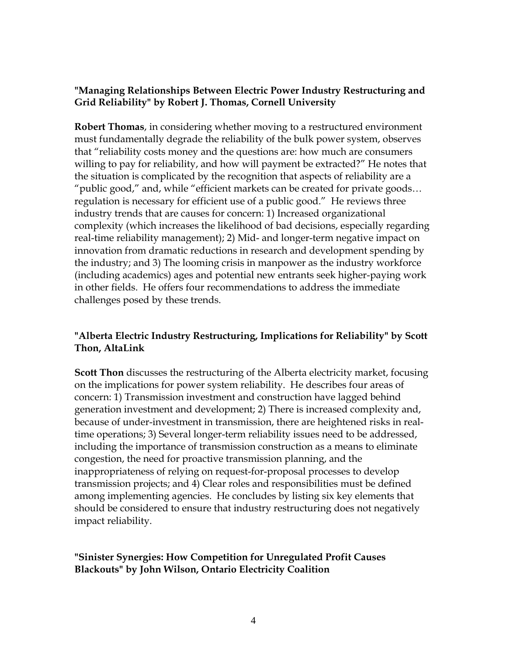# **"Managing Relationships Between Electric Power Industry Restructuring and Grid Reliability" by Robert J. Thomas, Cornell University**

**Robert Thomas**, in considering whether moving to a restructured environment must fundamentally degrade the reliability of the bulk power system, observes that "reliability costs money and the questions are: how much are consumers willing to pay for reliability, and how will payment be extracted?" He notes that the situation is complicated by the recognition that aspects of reliability are a "public good," and, while "efficient markets can be created for private goods… regulation is necessary for efficient use of a public good."He reviews three industry trends that are causes for concern: 1) Increased organizational complexity (which increases the likelihood of bad decisions, especially regarding real-time reliability management); 2) Mid- and longer-term negative impact on innovation from dramatic reductions in research and development spending by the industry; and 3) The looming crisis in manpower as the industry workforce (including academics) ages and potential new entrants seek higher-paying work in other fields. He offers four recommendations to address the immediate challenges posed by these trends.

# **"Alberta Electric Industry Restructuring, Implications for Reliability" by Scott Thon, AltaLink**

**Scott Thon** discusses the restructuring of the Alberta electricity market, focusing on the implications for power system reliability. He describes four areas of concern: 1) Transmission investment and construction have lagged behind generation investment and development; 2) There is increased complexity and, because of under-investment in transmission, there are heightened risks in realtime operations; 3) Several longer-term reliability issues need to be addressed, including the importance of transmission construction as a means to eliminate congestion, the need for proactive transmission planning, and the inappropriateness of relying on request-for-proposal processes to develop transmission projects; and 4) Clear roles and responsibilities must be defined among implementing agencies. He concludes by listing six key elements that should be considered to ensure that industry restructuring does not negatively impact reliability.

**"Sinister Synergies: How Competition for Unregulated Profit Causes Blackouts" by John Wilson, Ontario Electricity Coalition**